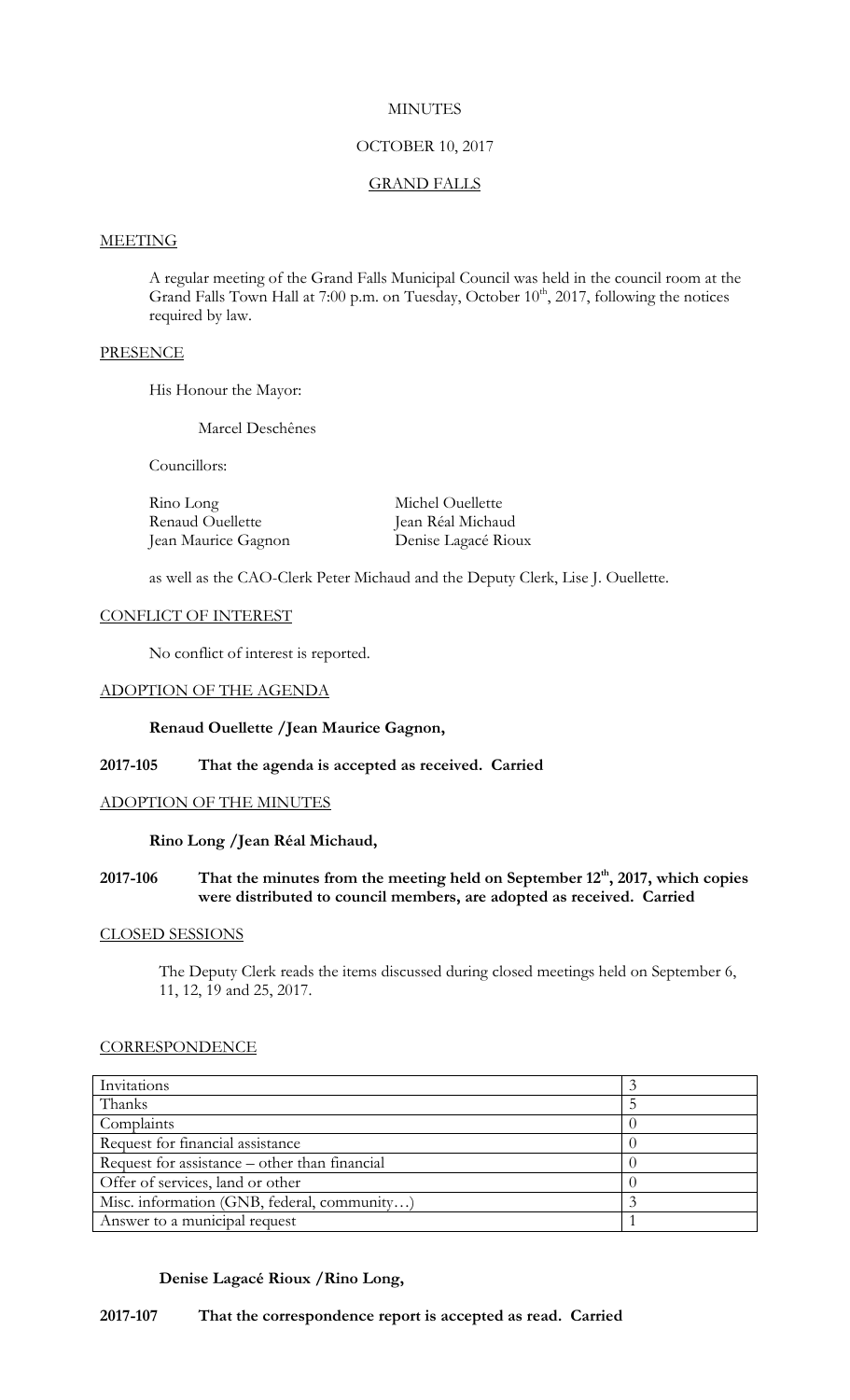## **MINUTES**

## OCTOBER 10, 2017

# GRAND FALLS

#### **MEETING**

A regular meeting of the Grand Falls Municipal Council was held in the council room at the Grand Falls Town Hall at 7:00 p.m. on Tuesday, October 10<sup>th</sup>, 2017, following the notices required by law.

## **PRESENCE**

His Honour the Mayor:

Marcel Deschênes

Councillors:

Rino Long Michel Ouellette Renaud Ouellette Jean Réal Michaud Jean Maurice Gagnon Denise Lagacé Rioux

as well as the CAO-Clerk Peter Michaud and the Deputy Clerk, Lise J. Ouellette.

## CONFLICT OF INTEREST

No conflict of interest is reported.

### ADOPTION OF THE AGENDA

### **Renaud Ouellette /Jean Maurice Gagnon,**

## **2017-105 That the agenda is accepted as received. Carried**

## ADOPTION OF THE MINUTES

### **Rino Long /Jean Réal Michaud,**

## **2017-106 That the minutes from the meeting held on September 12th , 2017, which copies were distributed to council members, are adopted as received. Carried**

#### CLOSED SESSIONS

The Deputy Clerk reads the items discussed during closed meetings held on September 6, 11, 12, 19 and 25, 2017.

### **CORRESPONDENCE**

| Invitations                                   |  |
|-----------------------------------------------|--|
| Thanks                                        |  |
| Complaints                                    |  |
| Request for financial assistance              |  |
| Request for assistance – other than financial |  |
| Offer of services, land or other              |  |
| Misc. information (GNB, federal, community)   |  |
| Answer to a municipal request                 |  |

## **Denise Lagacé Rioux /Rino Long,**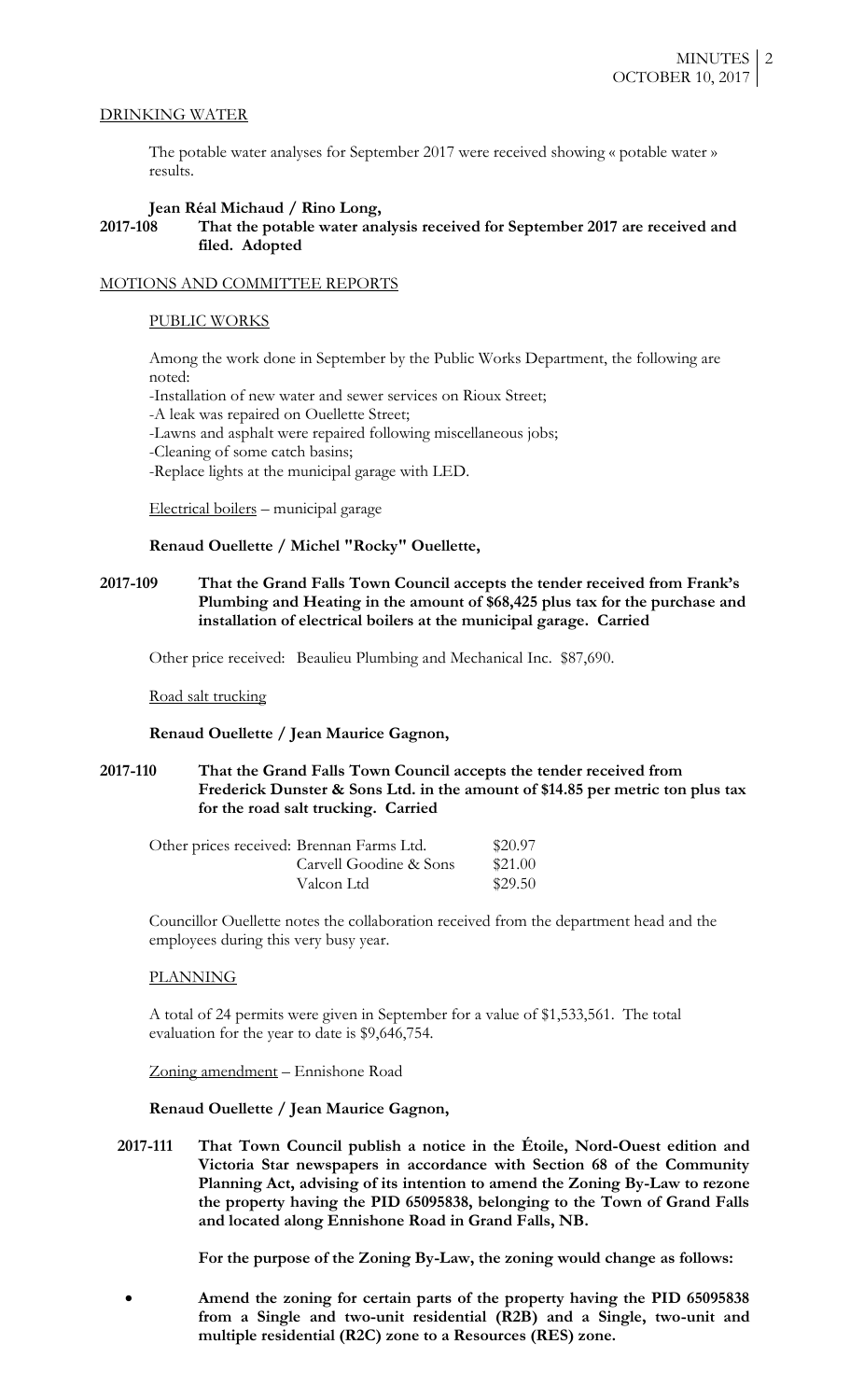### DRINKING WATER

The potable water analyses for September 2017 were received showing « potable water » results.

### **Jean Réal Michaud / Rino Long,**

## **2017-108 That the potable water analysis received for September 2017 are received and filed. Adopted**

#### MOTIONS AND COMMITTEE REPORTS

#### PUBLIC WORKS

Among the work done in September by the Public Works Department, the following are noted:

-Installation of new water and sewer services on Rioux Street;

-A leak was repaired on Ouellette Street;

-Lawns and asphalt were repaired following miscellaneous jobs;

-Cleaning of some catch basins;

-Replace lights at the municipal garage with LED.

Electrical boilers – municipal garage

### **Renaud Ouellette / Michel "Rocky" Ouellette,**

**2017-109 That the Grand Falls Town Council accepts the tender received from Frank's Plumbing and Heating in the amount of \$68,425 plus tax for the purchase and installation of electrical boilers at the municipal garage. Carried**

Other price received: Beaulieu Plumbing and Mechanical Inc. \$87,690.

Road salt trucking

**Renaud Ouellette / Jean Maurice Gagnon,**

**2017-110 That the Grand Falls Town Council accepts the tender received from Frederick Dunster & Sons Ltd. in the amount of \$14.85 per metric ton plus tax for the road salt trucking. Carried**

| Other prices received: Brennan Farms Ltd. | \$20.97 |
|-------------------------------------------|---------|
| Carvell Goodine & Sons                    | \$21.00 |
| Valcon Ltd                                | \$29.50 |

Councillor Ouellette notes the collaboration received from the department head and the employees during this very busy year.

## PLANNING

A total of 24 permits were given in September for a value of \$1,533,561. The total evaluation for the year to date is \$9,646,754.

Zoning amendment – Ennishone Road

**Renaud Ouellette / Jean Maurice Gagnon,**

**2017-111 That Town Council publish a notice in the Étoile, Nord-Ouest edition and Victoria Star newspapers in accordance with Section 68 of the Community Planning Act, advising of its intention to amend the Zoning By-Law to rezone the property having the PID 65095838, belonging to the Town of Grand Falls and located along Ennishone Road in Grand Falls, NB.** 

**For the purpose of the Zoning By-Law, the zoning would change as follows:**

 **Amend the zoning for certain parts of the property having the PID 65095838 from a Single and two-unit residential (R2B) and a Single, two-unit and multiple residential (R2C) zone to a Resources (RES) zone.**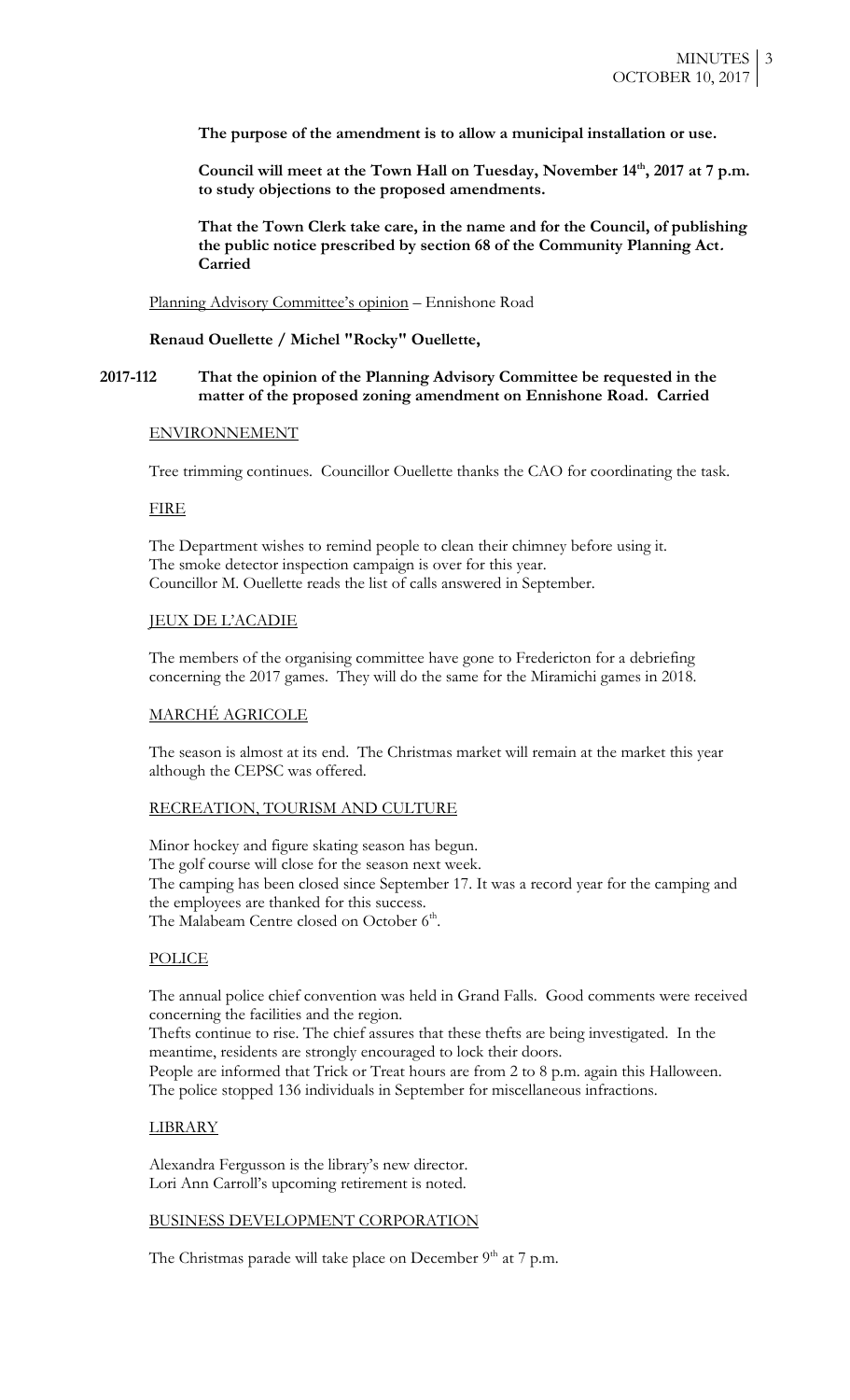**The purpose of the amendment is to allow a municipal installation or use.**

**Council will meet at the Town Hall on Tuesday, November 14th, 2017 at 7 p.m. to study objections to the proposed amendments.** 

**That the Town Clerk take care, in the name and for the Council, of publishing the public notice prescribed by section 68 of the Community Planning Act. Carried**

Planning Advisory Committee's opinion – Ennishone Road

**Renaud Ouellette / Michel "Rocky" Ouellette,**

### **2017-112 That the opinion of the Planning Advisory Committee be requested in the matter of the proposed zoning amendment on Ennishone Road. Carried**

#### ENVIRONNEMENT

Tree trimming continues. Councillor Ouellette thanks the CAO for coordinating the task.

### **FIRE**

The Department wishes to remind people to clean their chimney before using it. The smoke detector inspection campaign is over for this year. Councillor M. Ouellette reads the list of calls answered in September.

#### JEUX DE L'ACADIE

The members of the organising committee have gone to Fredericton for a debriefing concerning the 2017 games. They will do the same for the Miramichi games in 2018.

### MARCHÉ AGRICOLE

The season is almost at its end. The Christmas market will remain at the market this year although the CEPSC was offered.

### RECREATION, TOURISM AND CULTURE

Minor hockey and figure skating season has begun. The golf course will close for the season next week. The camping has been closed since September 17. It was a record year for the camping and the employees are thanked for this success. The Malabeam Centre closed on October 6<sup>th</sup>.

## POLICE

The annual police chief convention was held in Grand Falls. Good comments were received concerning the facilities and the region.

Thefts continue to rise. The chief assures that these thefts are being investigated. In the meantime, residents are strongly encouraged to lock their doors.

People are informed that Trick or Treat hours are from 2 to 8 p.m. again this Halloween. The police stopped 136 individuals in September for miscellaneous infractions.

### LIBRARY

Alexandra Fergusson is the library's new director. Lori Ann Carroll's upcoming retirement is noted.

#### BUSINESS DEVELOPMENT CORPORATION

The Christmas parade will take place on December  $9<sup>th</sup>$  at 7 p.m.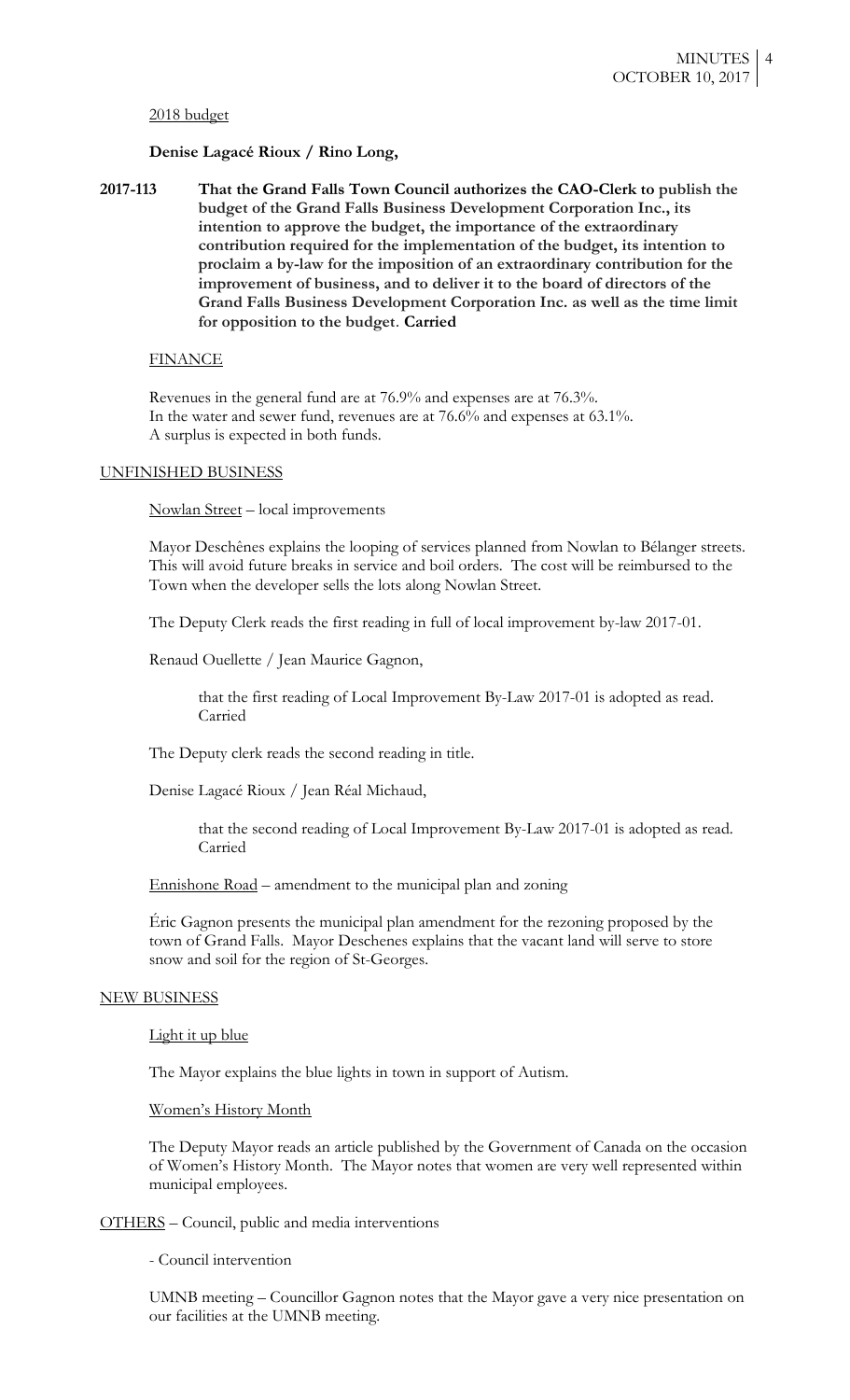#### 2018 budget

#### **Denise Lagacé Rioux / Rino Long,**

**2017-113 That the Grand Falls Town Council authorizes the CAO-Clerk to publish the budget of the Grand Falls Business Development Corporation Inc., its intention to approve the budget, the importance of the extraordinary contribution required for the implementation of the budget, its intention to proclaim a by-law for the imposition of an extraordinary contribution for the improvement of business, and to deliver it to the board of directors of the Grand Falls Business Development Corporation Inc. as well as the time limit for opposition to the budget**. **Carried**

#### FINANCE

Revenues in the general fund are at 76.9% and expenses are at 76.3%. In the water and sewer fund, revenues are at 76.6% and expenses at 63.1%. A surplus is expected in both funds.

#### UNFINISHED BUSINESS

Nowlan Street – local improvements

Mayor Deschênes explains the looping of services planned from Nowlan to Bélanger streets. This will avoid future breaks in service and boil orders. The cost will be reimbursed to the Town when the developer sells the lots along Nowlan Street.

The Deputy Clerk reads the first reading in full of local improvement by-law 2017-01.

Renaud Ouellette / Jean Maurice Gagnon,

that the first reading of Local Improvement By-Law 2017-01 is adopted as read. Carried

The Deputy clerk reads the second reading in title.

Denise Lagacé Rioux / Jean Réal Michaud,

that the second reading of Local Improvement By-Law 2017-01 is adopted as read. Carried

Ennishone Road – amendment to the municipal plan and zoning

Éric Gagnon presents the municipal plan amendment for the rezoning proposed by the town of Grand Falls. Mayor Deschenes explains that the vacant land will serve to store snow and soil for the region of St-Georges.

### NEW BUSINESS

Light it up blue

The Mayor explains the blue lights in town in support of Autism.

Women's History Month

The Deputy Mayor reads an article published by the Government of Canada on the occasion of Women's History Month. The Mayor notes that women are very well represented within municipal employees.

OTHERS – Council, public and media interventions

- Council intervention

UMNB meeting – Councillor Gagnon notes that the Mayor gave a very nice presentation on our facilities at the UMNB meeting.